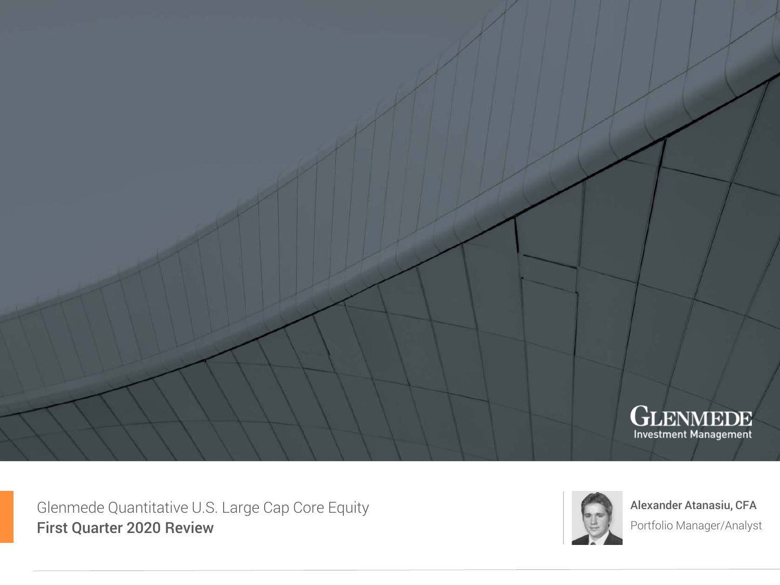

Glenmede Quantitative U.S. Large Cap Core Equity First Quarter 2020 Review



Alexander Atanasiu, CFA Portfolio Manager/Analyst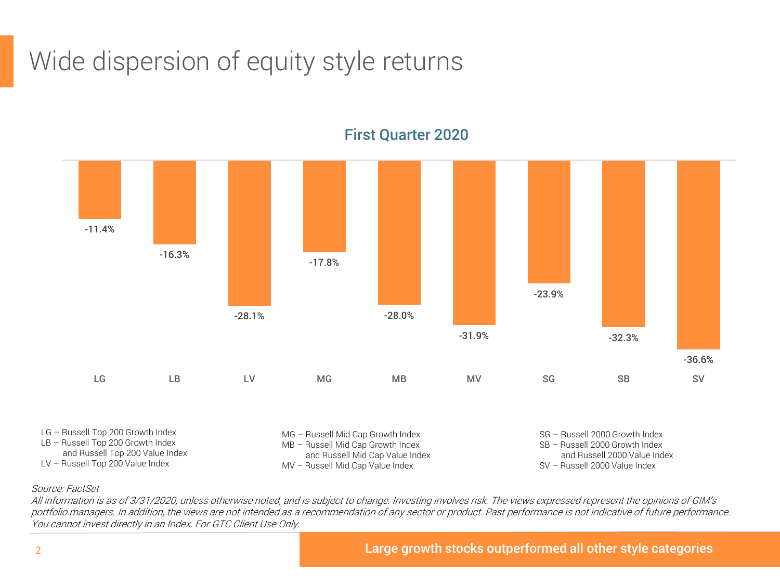## Wide dispersion of equity style returns



#### First Quarter 2020

#### Source: FactSet

All information is as of 3/31/2020, unless otherwise noted, and is subject to change. Investing involves risk. The views expressed represent the opinions of GIM's portfolio managers. In addition, the views are not intended as a recommendation of any sector or product. Past performance is not indicative of future performance. You cannot invest directly in an Index. For GTC Client Use Only.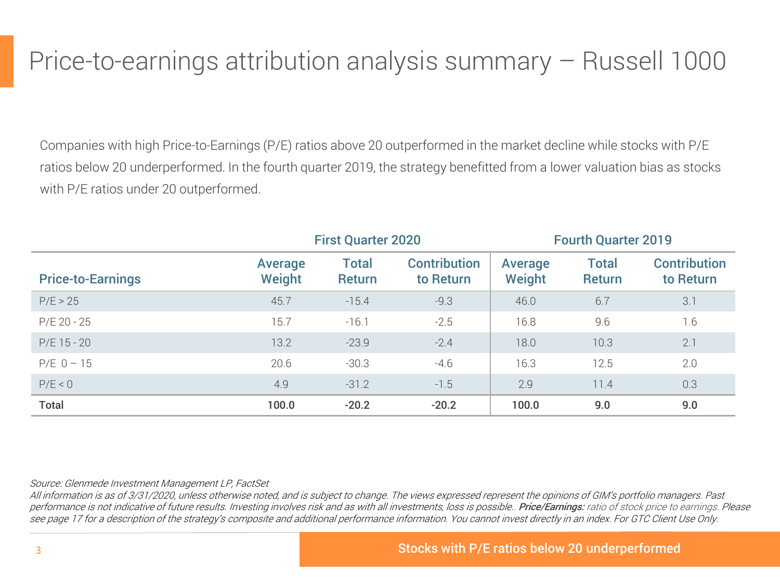### Price-to-earnings attribution analysis summary – Russell 1000

Companies with high Price-to-Earnings (P/E) ratios above 20 outperformed in the market decline while stocks with P/E ratios below 20 underperformed. In the fourth quarter 2019, the strategy benefitted from a lower valuation bias as stocks with P/E ratios under 20 outperformed.

|                          |                   | <b>First Quarter 2020</b>     |                                  |                   | <b>Fourth Quarter 2019</b>    |                                  |
|--------------------------|-------------------|-------------------------------|----------------------------------|-------------------|-------------------------------|----------------------------------|
| <b>Price-to-Earnings</b> | Average<br>Weight | <b>Total</b><br><b>Return</b> | <b>Contribution</b><br>to Return | Average<br>Weight | <b>Total</b><br><b>Return</b> | <b>Contribution</b><br>to Return |
| P/E > 25                 | 45.7              | $-15.4$                       | $-9.3$                           | 46.0              | 6.7                           | 3.1                              |
| $P/E 20 - 25$            | 15.7              | $-16.1$                       | $-2.5$                           | 16.8              | 9.6                           | 1.6                              |
| $P/E$ 15 - 20            | 13.2              | $-23.9$                       | $-2.4$                           | 18.0              | 10.3                          | 2.1                              |
| $P/E_0 - 15$             | 20.6              | $-30.3$                       | $-4.6$                           | 16.3              | 12.5                          | 2.0                              |
| P/E < 0                  | 4.9               | $-31.2$                       | $-1.5$                           | 2.9               | 11.4                          | 0.3                              |
| <b>Total</b>             | 100.0             | $-20.2$                       | $-20.2$                          | 100.0             | 9.0                           | 9.0                              |

#### Source: Glenmede Investment Management LP, FactSet

All information is as of 3/31/2020, unless otherwise noted, and is subject to change. The views expressed represent the opinions of GIM's portfolio managers. Past performance is not indicative of future results. Investing involves risk and as with all investments, loss is possible.. Price/Earnings: ratio of stock price to earnings. Please see page 17 for a description of the strategy's composite and additional performance information. You cannot invest directly in an index. For GTC Client Use Only.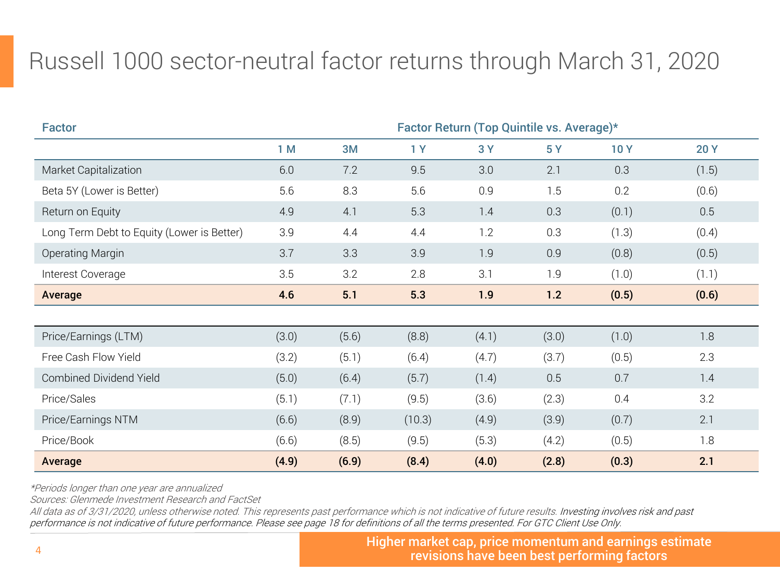### Russell 1000 sector-neutral factor returns through March 31, 2020

| <b>Factor</b>                              |       |       |        |       | Factor Return (Top Quintile vs. Average)* |            |            |
|--------------------------------------------|-------|-------|--------|-------|-------------------------------------------|------------|------------|
|                                            | 1M    | 3M    | 1Y     | 3Y    | 5Y                                        | <b>10Y</b> | <b>20Y</b> |
| Market Capitalization                      | 6.0   | 7.2   | 9.5    | 3.0   | 2.1                                       | 0.3        | (1.5)      |
| Beta 5Y (Lower is Better)                  | 5.6   | 8.3   | 5.6    | 0.9   | 1.5                                       | 0.2        | (0.6)      |
| Return on Equity                           | 4.9   | 4.1   | 5.3    | 1.4   | 0.3                                       | (0.1)      | 0.5        |
| Long Term Debt to Equity (Lower is Better) | 3.9   | 4.4   | 4.4    | 1.2   | 0.3                                       | (1.3)      | (0.4)      |
| Operating Margin                           | 3.7   | 3.3   | 3.9    | 1.9   | 0.9                                       | (0.8)      | (0.5)      |
| Interest Coverage                          | 3.5   | 3.2   | 2.8    | 3.1   | 1.9                                       | (1.0)      | (1.1)      |
| Average                                    | 4.6   | 5.1   | 5.3    | 1.9   | 1.2                                       | (0.5)      | (0.6)      |
|                                            |       |       |        |       |                                           |            |            |
| Price/Earnings (LTM)                       | (3.0) | (5.6) | (8.8)  | (4.1) | (3.0)                                     | (1.0)      | 1.8        |
| Free Cash Flow Yield                       | (3.2) | (5.1) | (6.4)  | (4.7) | (3.7)                                     | (0.5)      | 2.3        |
| Combined Dividend Yield                    | (5.0) | (6.4) | (5.7)  | (1.4) | 0.5                                       | 0.7        | 1.4        |
| Price/Sales                                | (5.1) | (7.1) | (9.5)  | (3.6) | (2.3)                                     | 0.4        | 3.2        |
| Price/Earnings NTM                         | (6.6) | (8.9) | (10.3) | (4.9) | (3.9)                                     | (0.7)      | 2.1        |
| Price/Book                                 | (6.6) | (8.5) | (9.5)  | (5.3) | (4.2)                                     | (0.5)      | 1.8        |
| Average                                    | (4.9) | (6.9) | (8.4)  | (4.0) | (2.8)                                     | (0.3)      | 2.1        |

\*Periods longer than one year are annualized

Sources: Glenmede Investment Research and FactSet

All data as of 3/31/2020, unless otherwise noted. This represents past performance which is not indicative of future results. Investing involves risk and past performance is not indicative of future performance. Please see page 18 for definitions of all the terms presented. For GTC Client Use Only.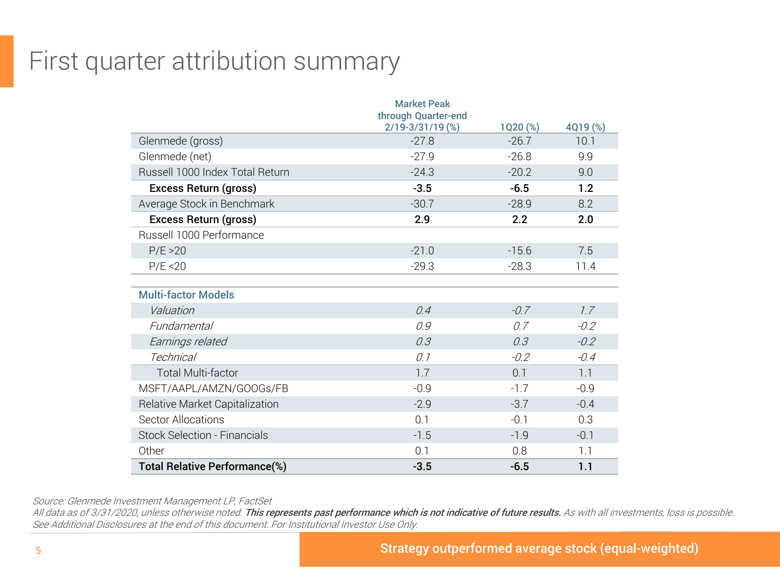### First quarter attribution summary

|                                      | <b>Market Peak</b><br>through Quarter-end |          |          |
|--------------------------------------|-------------------------------------------|----------|----------|
|                                      | $2/19 - 3/31/19$ (%)                      | 1Q20 (%) | 4Q19 (%) |
| Glenmede (gross)                     | $-27.8$                                   | $-26.7$  | 10.1     |
| Glenmede (net)                       | $-27.9$                                   | $-26.8$  | 9.9      |
| Russell 1000 Index Total Return      | $-24.3$                                   | $-20.2$  | 9.0      |
| Excess Return (gross)                | $-3.5$                                    | $-6.5$   | 1.2      |
| Average Stock in Benchmark           | $-30.7$                                   | $-28.9$  | 8.2      |
| Excess Return (gross)                | 2.9                                       | 2.2      | 2.0      |
| Russell 1000 Performance             |                                           |          |          |
| P/E > 20                             | $-21.0$                                   | $-15.6$  | 7.5      |
| P/E < 20                             | $-29.3$                                   | $-28.3$  | 11.4     |
|                                      |                                           |          |          |
| <b>Multi-factor Models</b>           |                                           |          |          |
| Valuation                            | 0.4                                       | $-0.7$   | 7.7      |
| Fundamental                          | 0.9                                       | 0.7      | $-0.2$   |
| Earnings related                     | 0.3                                       | 0.3      | $-0.2$   |
| <b>Technical</b>                     | 0.1                                       | $-0.2$   | $-0.4$   |
| <b>Total Multi-factor</b>            | 1.7                                       | 0.1      | 1.1      |
| MSFT/AAPL/AMZN/GOOGs/FB              | $-0.9$                                    | $-1.7$   | $-0.9$   |
| Relative Market Capitalization       | $-2.9$                                    | $-3.7$   | $-0.4$   |
| Sector Allocations                   | 0.1                                       | $-0.1$   | 0.3      |
| <b>Stock Selection - Financials</b>  | $-1.5$                                    | $-1.9$   | $-0.1$   |
| Other                                | 0.1                                       | 0.8      | 1.1      |
| <b>Total Relative Performance(%)</b> | $-3.5$                                    | $-6.5$   | 1.1      |

Source: Glenmede Investment Management LP, FactSet

All data as of 3/31/2020, unless otherwise noted. This represents past performance which is not indicative of future results. As with all investments, loss is possible. See Additional Disclosures at the end of this document. For Institutional Investor Use Only.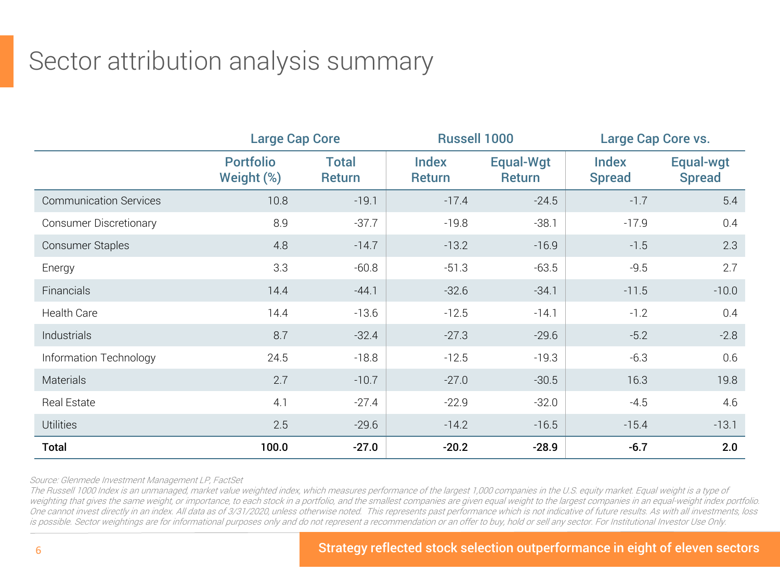### Sector attribution analysis summary

|                               |                                | <b>Large Cap Core</b>         |                               | <b>Russell 1000</b> | Large Cap Core vs.            |                            |  |
|-------------------------------|--------------------------------|-------------------------------|-------------------------------|---------------------|-------------------------------|----------------------------|--|
|                               | <b>Portfolio</b><br>Weight (%) | <b>Total</b><br><b>Return</b> | <b>Index</b><br><b>Return</b> | Equal-Wgt<br>Return | <b>Index</b><br><b>Spread</b> | Equal-wgt<br><b>Spread</b> |  |
| <b>Communication Services</b> | 10.8                           | $-19.1$                       | $-17.4$                       | $-24.5$             | $-1.7$                        | 5.4                        |  |
| <b>Consumer Discretionary</b> | 8.9                            | $-37.7$                       | $-19.8$                       | $-38.1$             | $-17.9$                       | 0.4                        |  |
| Consumer Staples              | 4.8                            | $-14.7$                       | $-13.2$                       | $-16.9$             | $-1.5$                        | 2.3                        |  |
| Energy                        | 3.3                            | $-60.8$                       | $-51.3$                       | $-63.5$             | $-9.5$                        | 2.7                        |  |
| Financials                    | 14.4                           | $-44.1$                       | $-32.6$                       | $-34.1$             | $-11.5$                       | $-10.0$                    |  |
| <b>Health Care</b>            | 14.4                           | $-13.6$                       | $-12.5$                       | $-14.1$             | $-1.2$                        | 0.4                        |  |
| Industrials                   | 8.7                            | $-32.4$                       | $-27.3$                       | $-29.6$             | $-5.2$                        | $-2.8$                     |  |
| Information Technology        | 24.5                           | $-18.8$                       | $-12.5$                       | $-19.3$             | $-6.3$                        | 0.6                        |  |
| <b>Materials</b>              | 2.7                            | $-10.7$                       | $-27.0$                       | $-30.5$             | 16.3                          | 19.8                       |  |
| Real Estate                   | 4.1                            | $-27.4$                       | $-22.9$                       | $-32.0$             | $-4.5$                        | 4.6                        |  |
| <b>Utilities</b>              | 2.5                            | $-29.6$                       | $-14.2$                       | $-16.5$             | $-15.4$                       | $-13.1$                    |  |
| <b>Total</b>                  | 100.0                          | $-27.0$                       | $-20.2$                       | $-28.9$             | $-6.7$                        | 2.0                        |  |

Source: Glenmede Investment Management LP, FactSet

The Russell 1000 Index is an unmanaged, market value weighted index, which measures performance of the largest 1,000 companies in the U.S. equity market. Equal weight is a type of weighting that gives the same weight, or importance, to each stock in a portfolio, and the smallest companies are given equal weight to the largest companies in an equal-weight index portfolio. One cannot invest directly in an index. All data as of 3/31/2020, unless otherwise noted. This represents past performance which is not indicative of future results. As with all investments, loss is possible. Sector weightings are for informational purposes only and do not represent a recommendation or an offer to buy, hold or sell any sector. For Institutional Investor Use Only.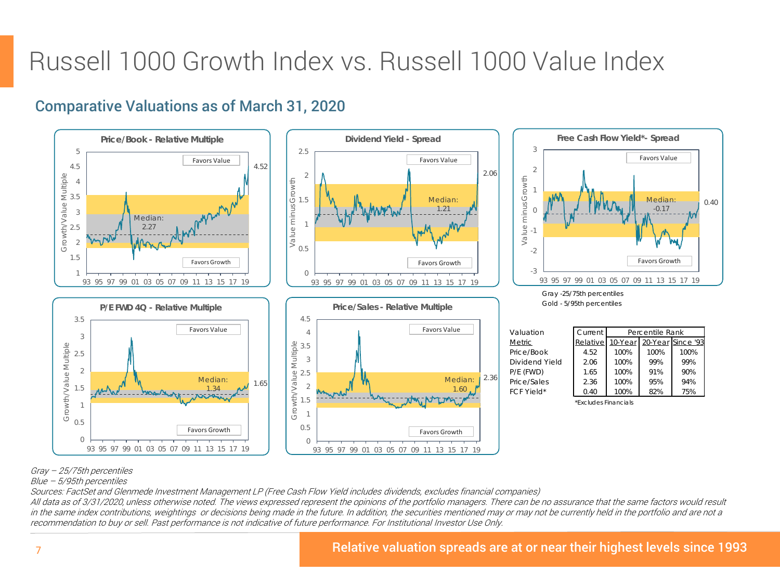### Russell 1000 Growth Index vs. Russell 1000 Value Index

#### Comparative Valuations as of March 31, 2020



#### Gray – 25/75th percentiles

Blue – 5/95th percentiles

Sources: FactSet and Glenmede Investment Management LP (Free Cash Flow Yield includes dividends, excludes financial companies)

All data as of 3/31/2020, unless otherwise noted. The views expressed represent the opinions of the portfolio managers. There can be no assurance that the same factors would result in the same index contributions, weightings or decisions being made in the future. In addition, the securities mentioned may or may not be currently held in the portfolio and are not a recommendation to buy or sell. Past performance is not indicative of future performance. For Institutional Investor Use Only.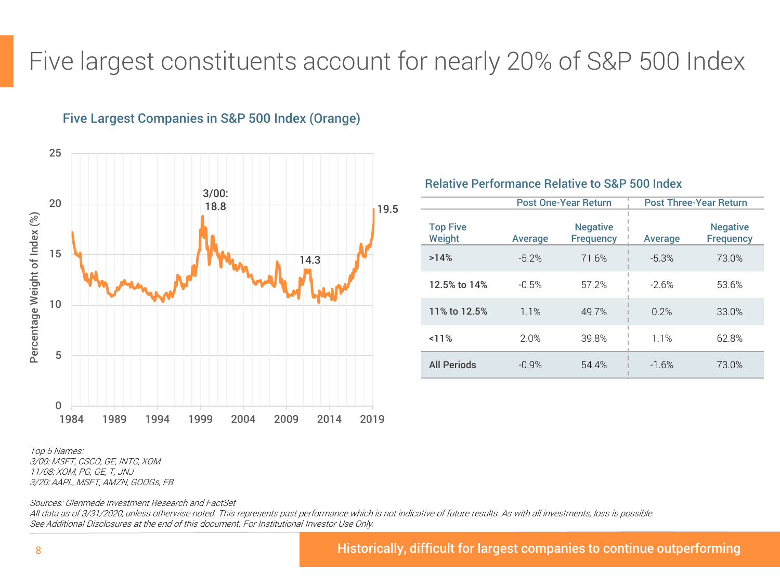### Five largest constituents account for nearly 20% of S&P 500 Index



#### Five Largest Companies in S&P 500 Index (Orange)

Post One-Year Return | Post Three-Year Return Top Five Weight **Average Negative** Frequency | Average Negative **Frequency** >14% -5.2% 71.6% -5.3% 73.0% **12.5% to 14%** -0.5% 57.2%  $-2.6\%$  53.6% 11% to 12.5% 1.1% 49.7% 0.2% 33.0% <11% 2.0% 39.8% 1.1% 62.8% All Periods -0.9% 54.4% -1.6% 73.0%

Relative Performance Relative to S&P 500 Index

Top 5 Names: 3/00: MSFT, CSCO, GE, INTC, XOM 11/08: XOM, PG, GE, T, JNJ 3/20: AAPL, MSFT, AMZN, GOOGs, FB

Sources: Glenmede Investment Research and FactSet

All data as of 3/31/2020, unless otherwise noted. This represents past performance which is not indicative of future results. As with all investments, loss is possible. See Additional Disclosures at the end of this document. For Institutional Investor Use Only.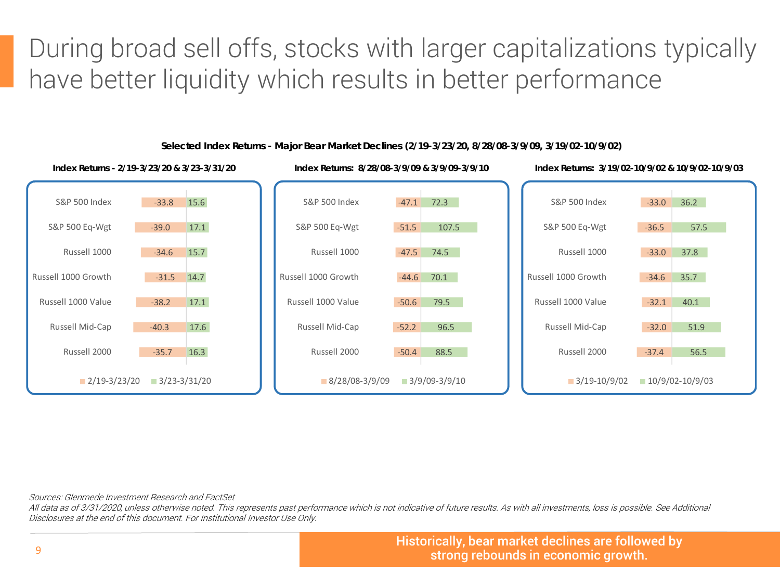During broad sell offs, stocks with larger capitalizations typically have better liquidity which results in better performance



**Selected Index Returns - Major Bear Market Declines (2/19-3/23/20, 8/28/08-3/9/09, 3/19/02-10/9/02)**

Sources: Glenmede Investment Research and FactSet

All data as of 3/31/2020, unless otherwise noted. This represents past performance which is not indicative of future results. As with all investments, loss is possible. See Additional Disclosures at the end of this document. For Institutional Investor Use Only.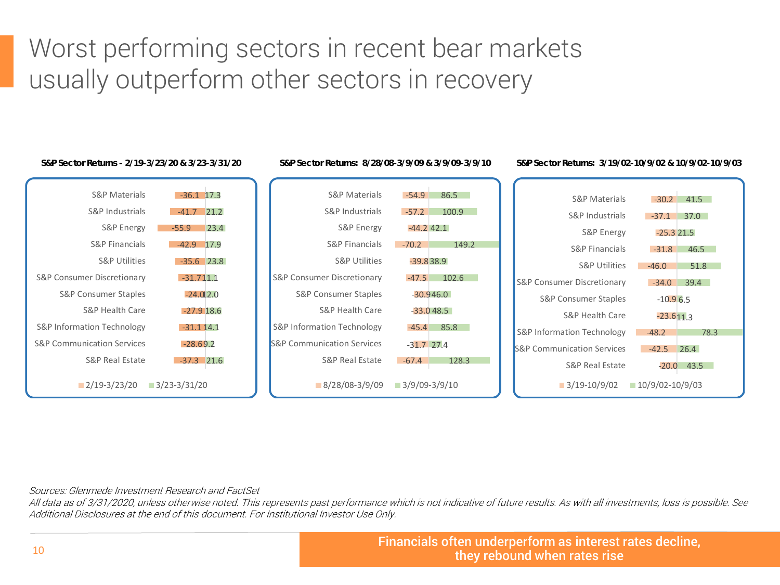### Worst performing sectors in recent bear markets usually outperform other sectors in recovery



**S&P Sector Returns - 2/19-3/23/20 & 3/23-3/31/20 S&P Sector Returns: 8/28/08-3/9/09 & 3/9/09-3/9/10 S&P Sector Returns: 3/19/02-10/9/02 & 10/9/02-10/9/03**

Sources: Glenmede Investment Research and FactSet

All data as of 3/31/2020, unless otherwise noted. This represents past performance which is not indicative of future results. As with all investments, loss is possible. See Additional Disclosures at the end of this document. For Institutional Investor Use Only.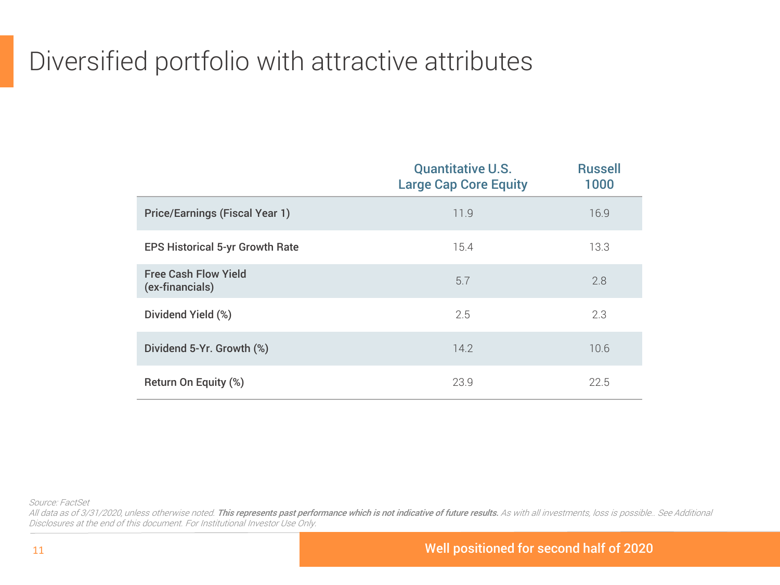## Diversified portfolio with attractive attributes

|                                                | <b>Quantitative U.S.</b><br><b>Large Cap Core Equity</b> | <b>Russell</b><br>1000 |
|------------------------------------------------|----------------------------------------------------------|------------------------|
| <b>Price/Earnings (Fiscal Year 1)</b>          | 11.9                                                     | 16.9                   |
| <b>EPS Historical 5-yr Growth Rate</b>         | 15.4                                                     | 13.3                   |
| <b>Free Cash Flow Yield</b><br>(ex-financials) | 5.7                                                      | 2.8                    |
| Dividend Yield (%)                             | 2.5                                                      | 2.3                    |
| Dividend 5-Yr. Growth (%)                      | 14.2                                                     | 10.6                   |
| Return On Equity (%)                           | 23.9                                                     | 22.5                   |

Source: FactSet

All data as of 3/31/2020, unless otherwise noted. This represents past performance which is not indicative of future results. As with all investments, loss is possible.. See Additional Disclosures at the end of this document. For Institutional Investor Use Only.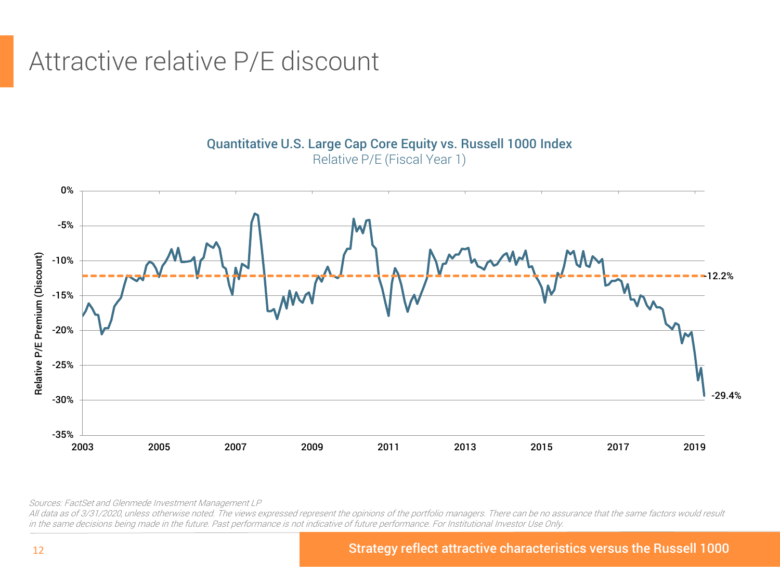### Attractive relative P/E discount

0% -5% Relative P/E Premium (Discount) Relative P/E Premium (Discount) -10% -12.2% -15% -20% -25% -29.4% -30% -35% 2003 2005 2007 2009 2011 2013 2015 2017 2019

Quantitative U.S. Large Cap Core Equity vs. Russell 1000 Index Relative P/E (Fiscal Year 1)

Sources: FactSet and Glenmede Investment Management LP

All data as of 3/31/2020, unless otherwise noted. The views expressed represent the opinions of the portfolio managers. There can be no assurance that the same factors would result in the same decisions being made in the future. Past performance is not indicative of future performance. For Institutional Investor Use Only.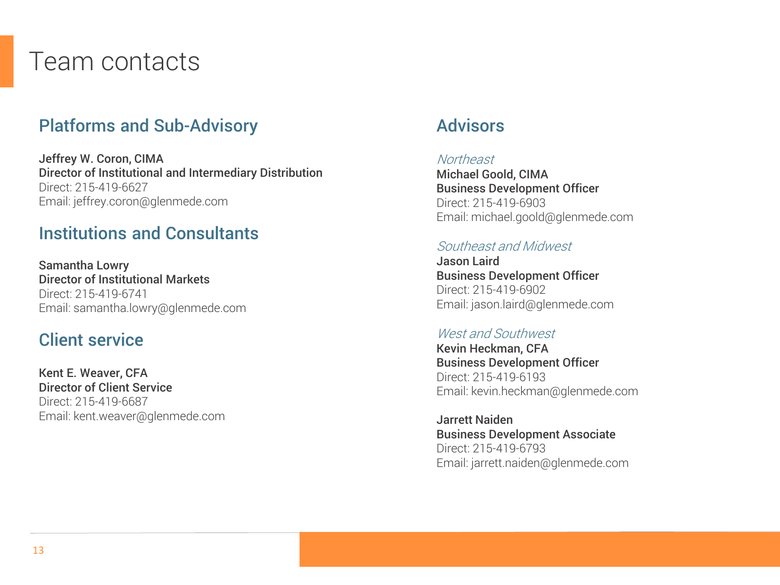### Team contacts

### Platforms and Sub-Advisory

Jeffrey W. Coron, CIMA Director of Institutional and Intermediary Distribution Direct: 215-419-6627 Email: jeffrey.coron@glenmede.com

#### Institutions and Consultants

Samantha Lowry Director of Institutional Markets Direct: 215-419-6741 Email: samantha.lowry@glenmede.com

#### Client service

Kent E. Weaver, CFA Director of Client Service Direct: 215-419-6687 Email: kent.weaver@glenmede.com

#### Advisors

#### **Northeast**

Michael Goold, CIMA Business Development Officer Direct: 215-419-6903 Email: michael.goold@glenmede.com

#### Southeast and Midwest

Jason Laird Business Development Officer Direct: 215-419-6902 Email: jason.laird@glenmede.com

#### West and Southwest

Kevin Heckman, CFA Business Development Officer Direct: 215-419-6193 Email: kevin.heckman@glenmede.com

Jarrett Naiden Business Development Associate Direct: 215-419-6793 Email: jarrett.naiden@glenmede.com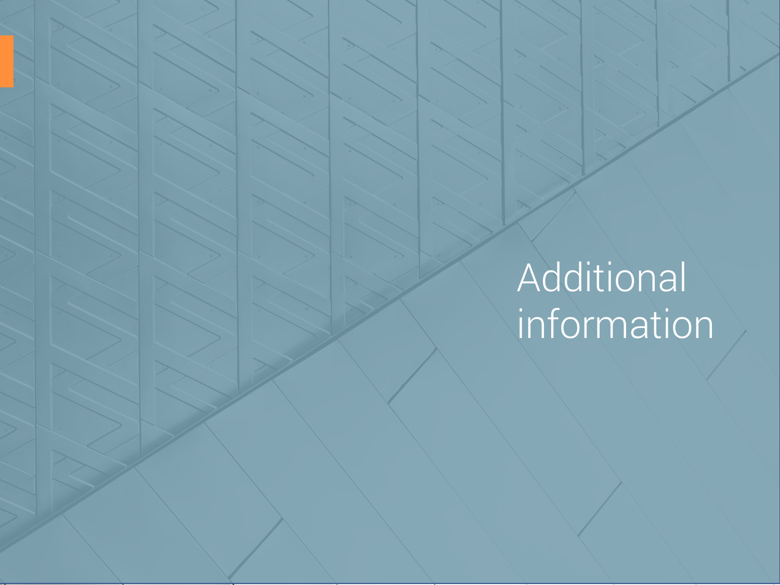# Additional information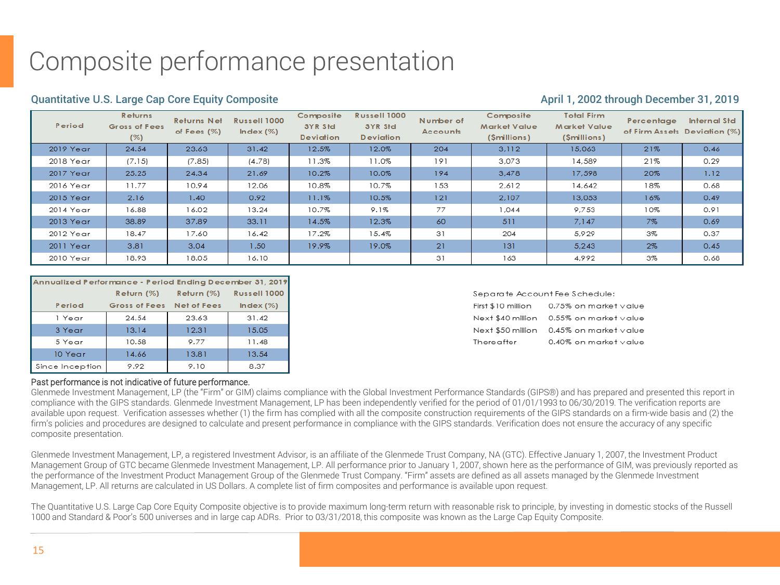## Composite performance presentation

#### Quantitative U.S. Large Cap Core Equity Composite April 1, 2002 through December 31, 2019

| Period    | Returns<br>Gross of Fees<br>(%) | <b>Returns Net</b><br>of Fees $(\%)$ | Russell 1000<br>Index $(\%)$ | Composite<br>3YR Std<br><b>Deviation</b> | Russell 1000<br>3YR Std<br><b>Deviation</b> | Number of<br>Accounts | Composite<br><b>Market Value</b><br>(\$millions) | <b>Total Firm</b><br><b>Market Value</b><br>(\$millions) | Percentage | Internal Std<br>of Firm Assets Deviation (%) |
|-----------|---------------------------------|--------------------------------------|------------------------------|------------------------------------------|---------------------------------------------|-----------------------|--------------------------------------------------|----------------------------------------------------------|------------|----------------------------------------------|
| 2019 Year | 24.54                           | 23.63                                | 31.42                        | 12.5%                                    | 12.0%                                       | 204                   | 3.112                                            | 15,063                                                   | 21%        | 0.46                                         |
| 2018 Year | (7.15)                          | (7.85)                               | (4.78)                       | 11.3%                                    | 11.0%                                       | 191                   | 3,073                                            | 14,589                                                   | 21%        | 0.29                                         |
| 2017 Year | 25.25                           | 24.34                                | 21.69                        | 10.2%                                    | 10.0%                                       | 194                   | 3,478                                            | 17,598                                                   | 20%        | 1.12                                         |
| 2016 Year | 11.77                           | 10.94                                | 12.06                        | 10.8%                                    | 10.7%                                       | 153                   | 2.612                                            | 14,642                                                   | 18%        | 0.68                                         |
| 2015 Year | 2.16                            | 1.40                                 | 0.92                         | 11.1%                                    | 10.5%                                       | 121                   | 2,107                                            | 13,053                                                   | 16%        | 0.49                                         |
| 2014 Year | 16.88                           | 16.02                                | 13.24                        | 10.7%                                    | 9.1%                                        | 77                    | 1,044                                            | 9,753                                                    | 10%        | 0.91                                         |
| 2013 Year | 38.89                           | 37.89                                | 33.11                        | 14.5%                                    | 12.3%                                       | 60                    | 511                                              | 7,147                                                    | 7%         | 0.69                                         |
| 2012 Year | 18.47                           | 17.60                                | 16.42                        | 17.2%                                    | 15.4%                                       | 31                    | 204                                              | 5,929                                                    | 3%         | 0.37                                         |
| 2011 Year | 3.81                            | 3.04                                 | 1.50 <sub>1</sub>            | 19.9%                                    | 19.0%                                       | 21                    | 131                                              | 5,243                                                    | $2\%$      | 0.45                                         |
| 2010 Year | 18.93                           | 18.05                                | 16.10                        |                                          |                                             | 31                    | 163                                              | 4,992                                                    | 3%         | 0.68                                         |

| Annualized Performance - Period Ending December 31, 2019 |               |                    |              |  |  |
|----------------------------------------------------------|---------------|--------------------|--------------|--|--|
|                                                          | Return (%)    | Return $(%)$       | Russell 1000 |  |  |
| Period                                                   | Gross of Fees | <b>Net of Fees</b> | Index $(\%)$ |  |  |
| 1 Year                                                   | 24.54         | 23.63              | 31.42        |  |  |
| 3 Year                                                   | 13.14         | 12.31              | 15.05        |  |  |
| 5 Year                                                   | 10.58         | 9.77               | 11.48        |  |  |
| 10 Year                                                  | 14.66         | 13.81              | 13.54        |  |  |
| Since Inception                                          | 9.92          | 9.10               | 8.37         |  |  |

#### Separate Account Fee Schedule:

| First \$10 million | 0.75% on market value                   |
|--------------------|-----------------------------------------|
|                    | Next \$40 million 0.55% on market value |
|                    | Next \$50 million 0.45% on market value |
| Thereafter         | 0.40% on market value                   |

#### Past performance is not indicative of future performance.

Glenmede Investment Management, LP (the "Firm" or GIM) claims compliance with the Global Investment Performance Standards (GIPS®) and has prepared and presented this report in compliance with the GIPS standards. Glenmede Investment Management, LP has been independently verified for the period of 01/01/1993 to 06/30/2019. The verification reports are available upon request. Verification assesses whether (1) the firm has complied with all the composite construction requirements of the GIPS standards on a firm-wide basis and (2) the firm's policies and procedures are designed to calculate and present performance in compliance with the GIPS standards. Verification does not ensure the accuracy of any specific composite presentation.

Glenmede Investment Management, LP, a registered Investment Advisor, is an affiliate of the Glenmede Trust Company, NA (GTC). Effective January 1, 2007, the Investment Product Management Group of GTC became Glenmede Investment Management, LP. All performance prior to January 1, 2007, shown here as the performance of GIM, was previously reported as the performance of the Investment Product Management Group of the Glenmede Trust Company. "Firm" assets are defined as all assets managed by the Glenmede Investment Management, LP. All returns are calculated in US Dollars. A complete list of firm composites and performance is available upon request.

The Quantitative U.S. Large Cap Core Equity Composite objective is to provide maximum long-term return with reasonable risk to principle, by investing in domestic stocks of the Russell 1000 and Standard & Poor's 500 universes and in large cap ADRs. Prior to 03/31/2018, this composite was known as the Large Cap Equity Composite.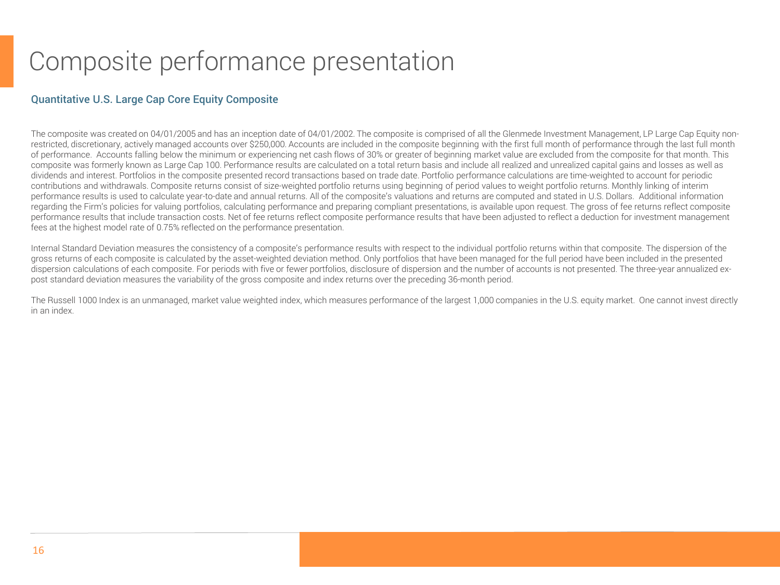### Composite performance presentation

#### Quantitative U.S. Large Cap Core Equity Composite

The composite was created on 04/01/2005 and has an inception date of 04/01/2002. The composite is comprised of all the Glenmede Investment Management, LP Large Cap Equity nonrestricted, discretionary, actively managed accounts over \$250,000. Accounts are included in the composite beginning with the first full month of performance through the last full month of performance. Accounts falling below the minimum or experiencing net cash flows of 30% or greater of beginning market value are excluded from the composite for that month. This composite was formerly known as Large Cap 100. Performance results are calculated on a total return basis and include all realized and unrealized capital gains and losses as well as dividends and interest. Portfolios in the composite presented record transactions based on trade date. Portfolio performance calculations are time-weighted to account for periodic contributions and withdrawals. Composite returns consist of size-weighted portfolio returns using beginning of period values to weight portfolio returns. Monthly linking of interim performance results is used to calculate year-to-date and annual returns. All of the composite's valuations and returns are computed and stated in U.S. Dollars. Additional information regarding the Firm's policies for valuing portfolios, calculating performance and preparing compliant presentations, is available upon request. The gross of fee returns reflect composite performance results that include transaction costs. Net of fee returns reflect composite performance results that have been adjusted to reflect a deduction for investment management fees at the highest model rate of 0.75% reflected on the performance presentation.

Internal Standard Deviation measures the consistency of a composite's performance results with respect to the individual portfolio returns within that composite. The dispersion of the gross returns of each composite is calculated by the asset-weighted deviation method. Only portfolios that have been managed for the full period have been included in the presented dispersion calculations of each composite. For periods with five or fewer portfolios, disclosure of dispersion and the number of accounts is not presented. The three-year annualized expost standard deviation measures the variability of the gross composite and index returns over the preceding 36-month period.

The Russell 1000 Index is an unmanaged, market value weighted index, which measures performance of the largest 1,000 companies in the U.S. equity market. One cannot invest directly in an index.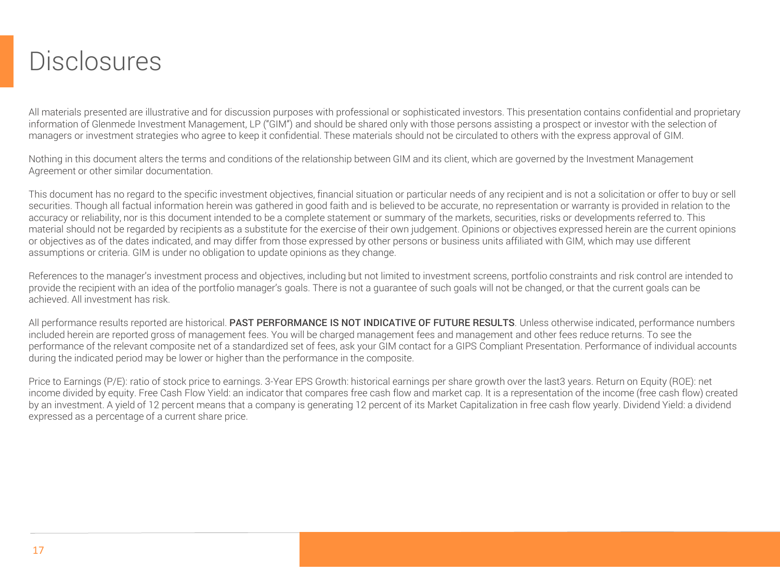### **Disclosures**

All materials presented are illustrative and for discussion purposes with professional or sophisticated investors. This presentation contains confidential and proprietary information of Glenmede Investment Management, LP ("GIM") and should be shared only with those persons assisting a prospect or investor with the selection of managers or investment strategies who agree to keep it confidential. These materials should not be circulated to others with the express approval of GIM.

Nothing in this document alters the terms and conditions of the relationship between GIM and its client, which are governed by the Investment Management Agreement or other similar documentation.

This document has no regard to the specific investment objectives, financial situation or particular needs of any recipient and is not a solicitation or offer to buy or sell securities. Though all factual information herein was gathered in good faith and is believed to be accurate, no representation or warranty is provided in relation to the accuracy or reliability, nor is this document intended to be a complete statement or summary of the markets, securities, risks or developments referred to. This material should not be regarded by recipients as a substitute for the exercise of their own judgement. Opinions or objectives expressed herein are the current opinions or objectives as of the dates indicated, and may differ from those expressed by other persons or business units affiliated with GIM, which may use different assumptions or criteria. GIM is under no obligation to update opinions as they change.

References to the manager's investment process and objectives, including but not limited to investment screens, portfolio constraints and risk control are intended to provide the recipient with an idea of the portfolio manager's goals. There is not a guarantee of such goals will not be changed, or that the current goals can be achieved. All investment has risk.

All performance results reported are historical. PAST PERFORMANCE IS NOT INDICATIVE OF FUTURE RESULTS. Unless otherwise indicated, performance numbers included herein are reported gross of management fees. You will be charged management fees and management and other fees reduce returns. To see the performance of the relevant composite net of a standardized set of fees, ask your GIM contact for a GIPS Compliant Presentation. Performance of individual accounts during the indicated period may be lower or higher than the performance in the composite.

Price to Earnings (P/E): ratio of stock price to earnings. 3-Year EPS Growth: historical earnings per share growth over the last3 years. Return on Equity (ROE): net income divided by equity. Free Cash Flow Yield: an indicator that compares free cash flow and market cap. It is a representation of the income (free cash flow) created by an investment. A yield of 12 percent means that a company is generating 12 percent of its Market Capitalization in free cash flow yearly. Dividend Yield: a dividend expressed as a percentage of a current share price.